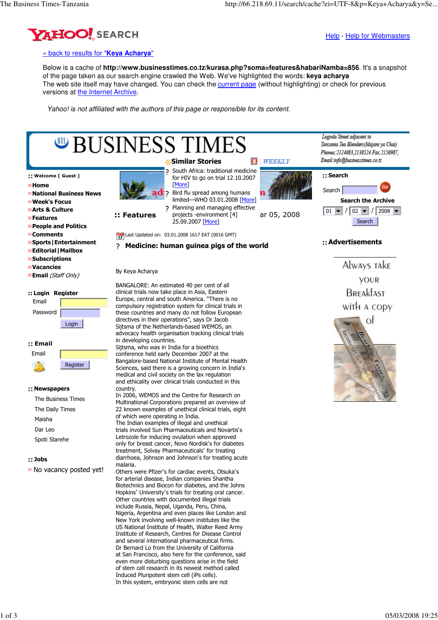

Help - Help for Webmasters

## « back to results for "**Keya Acharya**"

Below is a cache of **http://www.businesstimes.co.tz/kurasa.php?soma=features&habariNamba=856**. It's a snapshot of the page taken as our search engine crawled the Web. We've highlighted the words: **keya acharya**  The web site itself may have changed. You can check the current page (without highlighting) or check for previous versions at the Internet Archive.

Yahoo! is not affiliated with the authors of this page or responsible for its content.



## **::** Jobs

» No vacancy posted yet!

malaria.

Others were Pfizer's for cardiac events, Otsuka's for arterial disease, Indian companies Shantha Biotechnics and Biocon for diabetes, and the Johns Hopkins' University's trials for treating oral cancer. Other countries with documented illegal trials include Russia, Nepal, Uganda, Peru, China, Nigeria, Argentina and even places like London and New York involving well-known institutes like the US National Institute of Health, Walter Reed Army Institute of Research, Centres for Disease Control and several international pharmaceutical firms. Dr Bernard Lo from the University of California at San Francisco, also here for the conference, said even more disturbing questions arise in the field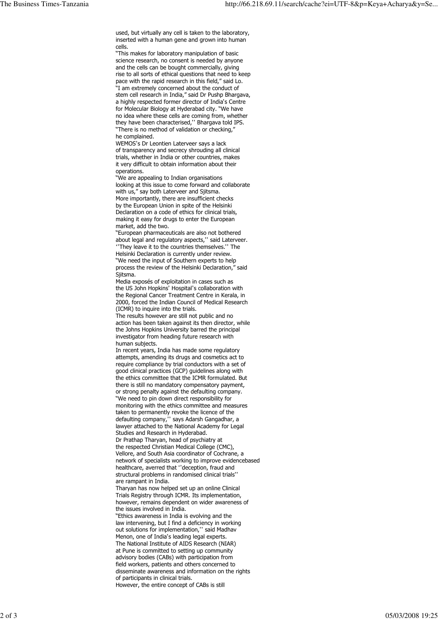used, but virtually any cell is taken to the laboratory, inserted with a human gene and grown into human cells.

"This makes for laboratory manipulation of basic science research, no consent is needed by anyone and the cells can be bought commercially, giving rise to all sorts of ethical questions that need to keep pace with the rapid research in this field," said Lo. "I am extremely concerned about the conduct of stem cell research in India," said Dr Pushp Bhargava, a highly respected former director of India's Centre for Molecular Biology at Hyderabad city. "We have no idea where these cells are coming from, whether they have been characterised," Bhargava told IPS. "There is no method of validation or checking," he complained.

WEMOS's Dr Leontien Laterveer says a lack of transparency and secrecy shrouding all clinical trials, whether in India or other countries, makes it very difficult to obtain information about their operations.

"We are appealing to Indian organisations looking at this issue to come forward and collaborate with us," say both Laterveer and Sjitsma. More importantly, there are insufficient checks by the European Union in spite of the Helsinki Declaration on a code of ethics for clinical trials, making it easy for drugs to enter the European market, add the two.

"European pharmaceuticals are also not bothered about legal and regulatory aspects," said Laterveer. "They leave it to the countries themselves." The

Helsinki Declaration is currently under review. "We need the input of Southern experts to help process the review of the Helsinki Declaration," said Siitsma.

Media exposés of exploitation in cases such as the US John Hopkins' Hospital's collaboration with the Regional Cancer Treatment Centre in Kerala, in 2000, forced the Indian Council of Medical Research (ICMR) to inquire into the trials.

The results however are still not public and no action has been taken against its then director, while the Johns Hopkins University barred the principal investigator from heading future research with human subjects.

In recent years, India has made some regulatory attempts, amending its drugs and cosmetics act to require compliance by trial conductors with a set of good clinical practices (GCP) guidelines along with the ethics committee that the ICMR formulated. But there is still no mandatory compensatory payment, or strong penalty against the defaulting company. "We need to pin down direct responsibility for monitoring with the ethics committee and measures taken to permanently revoke the licence of the<br>defaulting company,'' says Adarsh Gangadhar, a lawyer attached to the National Academy for Legal Studies and Research in Hyderabad.

Dr Prathap Tharyan, head of psychiatry at the respected Christian Medical College (CMC), Vellore, and South Asia coordinator of Cochrane, a network of specialists working to improve evidencebased healthcare, averred that "deception, fraud and structural problems in randomised clinical trials'' are rampant in India.

Tharyan has now helped set up an online Clinical Trials Registry through ICMR. Its implementation, however, remains dependent on wider awareness of the issues involved in India.

"Ethics awareness in India is evolving and the law intervening, but I find a deficiency in working out solutions for implementation," said Madhav Menon, one of India's leading legal experts. The National Institute of AIDS Research (NIAR) at Pune is committed to setting up community advisory bodies (CABs) with participation from field workers, patients and others concerned to disseminate awareness and information on the rights of participants in clinical trials. However, the entire concept of CABs is still